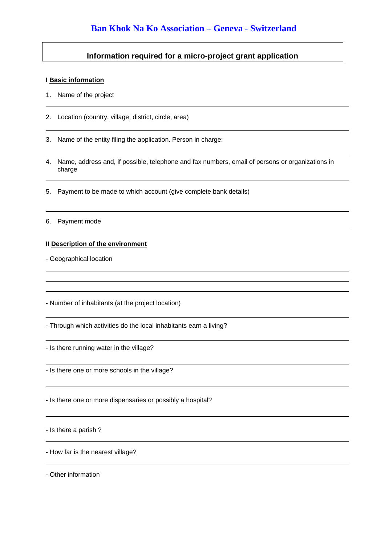## **Information required for a micro-project grant application**

#### **I Basic information**

- 1. Name of the project
- 2. Location (country, village, district, circle, area)

3. Name of the entity filing the application. Person in charge:

- 4. Name, address and, if possible, telephone and fax numbers, email of persons or organizations in charge
- 5. Payment to be made to which account (give complete bank details)

#### 6. Payment mode

### **II Description of the environment**

- Geographical location

- Number of inhabitants (at the project location)

- Through which activities do the local inhabitants earn a living?

- Is there running water in the village?

- Is there one or more schools in the village?

- Is there one or more dispensaries or possibly a hospital?

- Is there a parish ?

- How far is the nearest village?

- Other information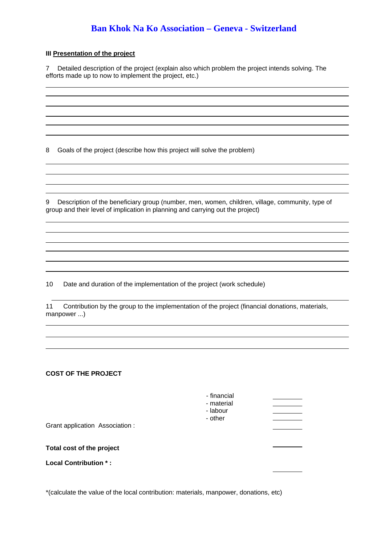## **Ban Khok Na Ko Association – Geneva - Switzerland**

### **III Presentation of the project**

7 Detailed description of the project (explain also which problem the project intends solving. The efforts made up to now to implement the project, etc.)

8 Goals of the project (describe how this project will solve the problem)

9 Description of the beneficiary group (number, men, women, children, village, community, type of group and their level of implication in planning and carrying out the project)

10 Date and duration of the implementation of the project (work schedule)

11 Contribution by the group to the implementation of the project (financial donations, materials, manpower ...)

#### **COST OF THE PROJECT**

| Grant application Association:                            | - financial<br>- material<br>- labour<br>- other |  |
|-----------------------------------------------------------|--------------------------------------------------|--|
| Total cost of the project<br><b>Local Contribution *:</b> |                                                  |  |
|                                                           |                                                  |  |

\*(calculate the value of the local contribution: materials, manpower, donations, etc)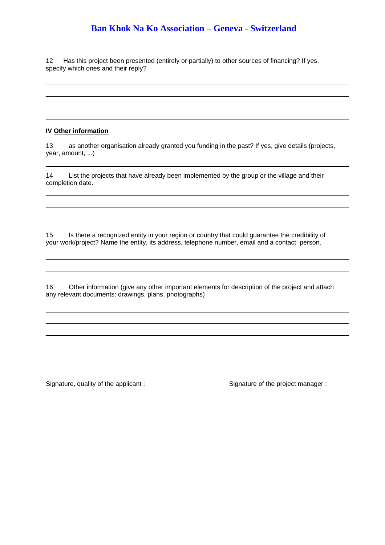# **Ban Khok Na Ko Association – Geneva - Switzerland**

12 Has this project been presented (entirely or partially) to other sources of financing? If yes, specify which ones and their reply?

#### **IV Other information**

13 as another organisation already granted you funding in the past? If yes, give details (projects, year, amount, ...)

14 List the projects that have already been implemented by the group or the village and their completion date.

15 Is there a recognized entity in your region or country that could guarantee the credibility of your work/project? Name the entity, its address, telephone number, email and a contact person.

16 Other information (give any other important elements for description of the project and attach any relevant documents: drawings, plans, photographs)

Signature, quality of the applicant : Signature of the project manager :

1